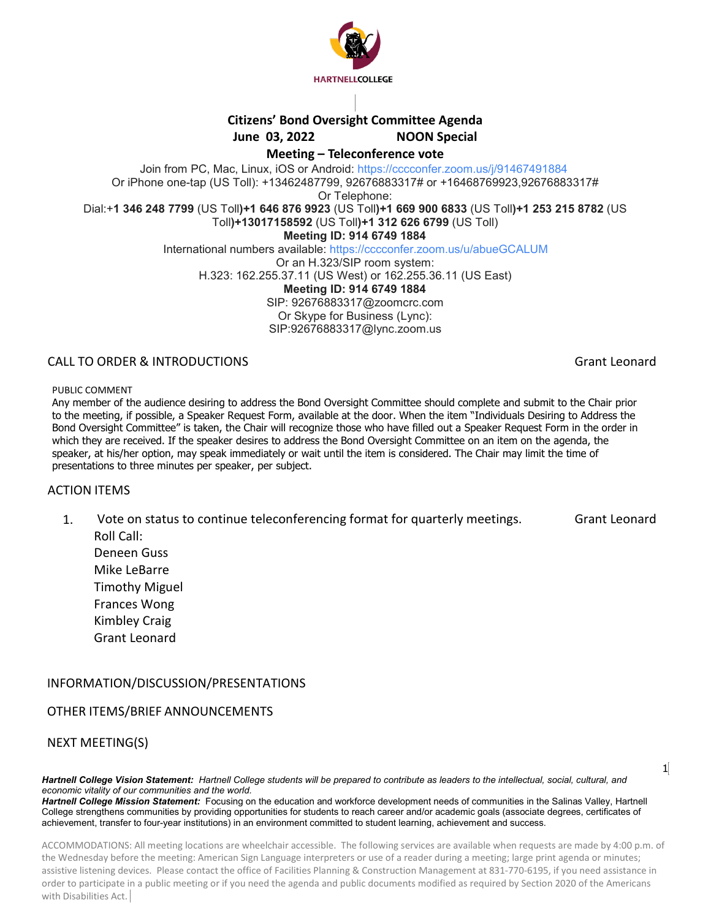

# **Citizens' Bond Oversight Committee Agenda**

**June 03, 2022 NOON Special** 

**Meeting – Teleconference vote** 

Join from PC, Mac, Linux, iOS or Android: [https://cccconfer.zoom.us/j/9](https://www.google.com/url?q=https://cccconfer.zoom.us/j/92676883317&source=gsuite-addons&ust=1648758475683000&usg=AOvVaw0TMpzMxXFi7w20rPBaZTXN)1467491884 Or iPhone one-tap (US Toll): +13462487799, 92676883317# or +16468769923,92676883317# Or Telephone:

Dial:+**1 346 248 7799** (US Toll**)+1 646 876 9923** (US Toll**)+1 669 900 6833** (US Toll**)+1 253 215 8782** (US Toll**)+13017158592** (US Toll**)+1 312 626 6799** (US Toll)

**Meeting ID: 914 6749 1884**

International numbers available: [https://cccconfer.zoom.us/u/a](https://www.google.com/url?q=https://cccconfer.zoom.us/u/azMYOWmoJ&source=gsuite-addons&ust=1648758475683000&usg=AOvVaw1MGAwxbtO_7sctqzHeCMud)bueGCALUM

Or an H.323/SIP room system:

H.323: 162.255.37.11 (US West) or 162.255.36.11 (US East)

#### **Meeting ID: 914 6749 1884**

SIP: 92676883317@zoomcrc.com

Or Skype for Business (Lync): SIP:92676883317@lync.zoom.us

### CALL TO ORDER & INTRODUCTIONS Grant Leonard

 $1\vert$ 

#### PUBLIC COMMENT

Any member of the audience desiring to address the Bond Oversight Committee should complete and submit to the Chair prior to the meeting, if possible, a Speaker Request Form, available at the door. When the item "Individuals Desiring to Address the Bond Oversight Committee" is taken, the Chair will recognize those who have filled out a Speaker Request Form in the order in which they are received. If the speaker desires to address the Bond Oversight Committee on an item on the agenda, the speaker, at his/her option, may speak immediately or wait until the item is considered. The Chair may limit the time of presentations to three minutes per speaker, per subject.

#### ACTION ITEMS

1. Vote on status to continue teleconferencing format for quarterly meetings. Grant Leonard Roll Call:

Deneen Guss Mike LeBarre Timothy Miguel Frances Wong Kimbley Craig Grant Leonard

#### INFORMATION/DISCUSSION/PRESENTATIONS

OTHER ITEMS/BRIEF ANNOUNCEMENTS

# NEXT MEETING(S)

*Hartnell College Vision Statement: Hartnell College students will be prepared to contribute as leaders to the intellectual, social, cultural, and economic vitality of our communities and the world.*

*Hartnell College Mission Statement:* Focusing on the education and workforce development needs of communities in the Salinas Valley, Hartnell College strengthens communities by providing opportunities for students to reach career and/or academic goals (associate degrees, certificates of achievement, transfer to four-year institutions) in an environment committed to student learning, achievement and success*.* 

ACCOMMODATIONS: All meeting locations are wheelchair accessible. The following services are available when requests are made by 4:00 p.m. of the Wednesday before the meeting: American Sign Language interpreters or use of a reader during a meeting; large print agenda or minutes; assistive listening devices. Please contact the office of Facilities Planning & Construction Management at 831-770-6195, if you need assistance in order to participate in a public meeting or if you need the agenda and public documents modified as required by Section 2020 of the Americans with Disabilities Act.